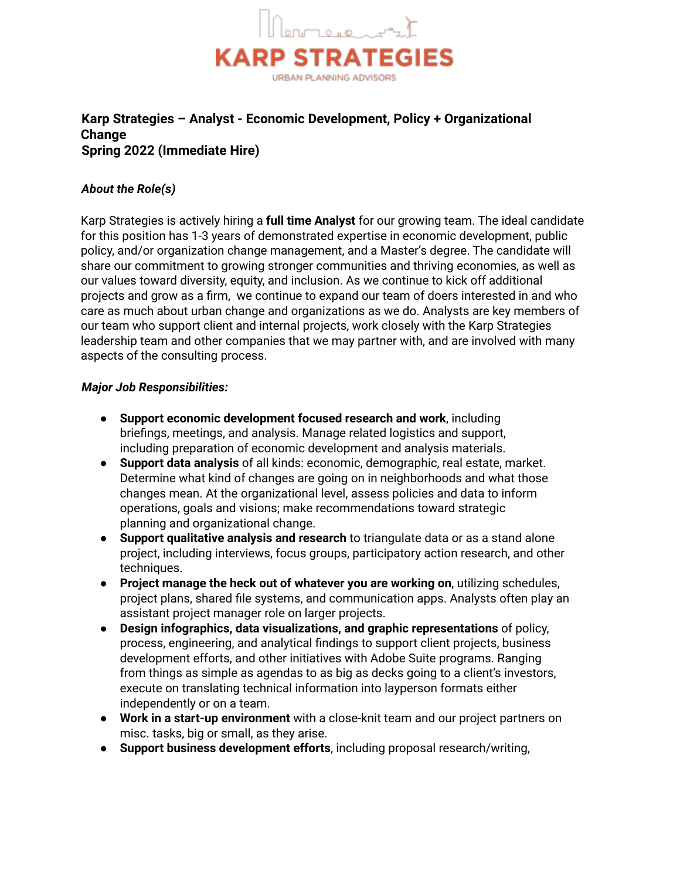

# **Karp Strategies – Analyst - Economic Development, Policy + Organizational Change Spring 2022 (Immediate Hire)**

# *About the Role(s)*

Karp Strategies is actively hiring a **full time Analyst** for our growing team. The ideal candidate for this position has 1-3 years of demonstrated expertise in economic development, public policy, and/or organization change management, and a Master's degree. The candidate will share our commitment to growing stronger communities and thriving economies, as well as our values toward diversity, equity, and inclusion. As we continue to kick off additional projects and grow as a firm, we continue to expand our team of doers interested in and who care as much about urban change and organizations as we do. Analysts are key members of our team who support client and internal projects, work closely with the Karp Strategies leadership team and other companies that we may partner with, and are involved with many aspects of the consulting process.

### *Major Job Responsibilities:*

- **Support economic development focused research and work**, including briefings, meetings, and analysis. Manage related logistics and support, including preparation of economic development and analysis materials.
- **Support data analysis** of all kinds: economic, demographic, real estate, market. Determine what kind of changes are going on in neighborhoods and what those changes mean. At the organizational level, assess policies and data to inform operations, goals and visions; make recommendations toward strategic planning and organizational change.
- **Support qualitative analysis and research** to triangulate data or as a stand alone project, including interviews, focus groups, participatory action research, and other techniques.
- **Project manage the heck out of whatever you are working on**, utilizing schedules, project plans, shared file systems, and communication apps. Analysts often play an assistant project manager role on larger projects.
- **Design infographics, data visualizations, and graphic representations** of policy, process, engineering, and analytical findings to support client projects, business development efforts, and other initiatives with Adobe Suite programs. Ranging from things as simple as agendas to as big as decks going to a client's investors, execute on translating technical information into layperson formats either independently or on a team.
- **Work in a start-up environment** with a close-knit team and our project partners on misc. tasks, big or small, as they arise.
- **Support business development efforts**, including proposal research/writing,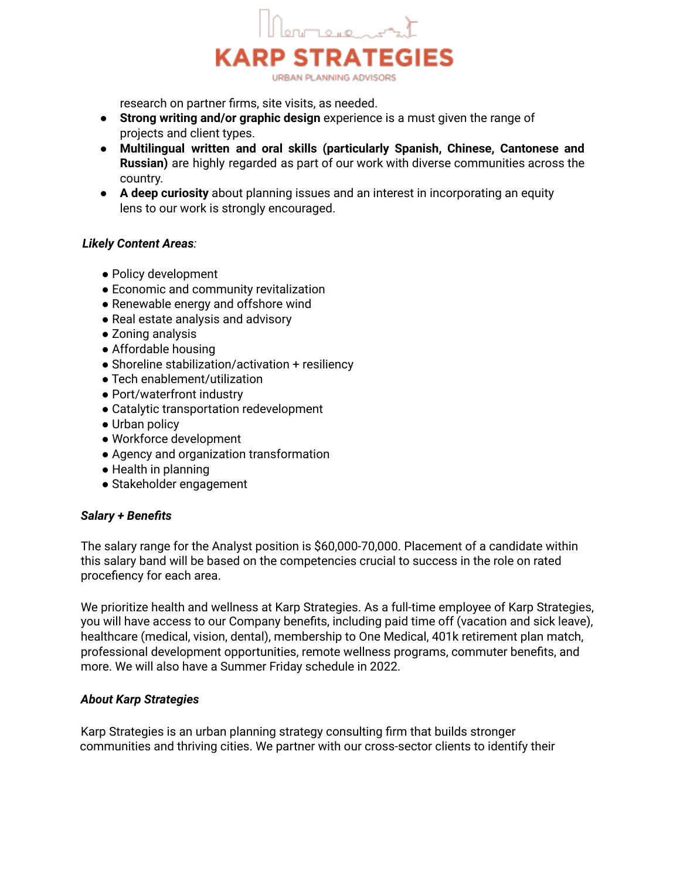

research on partner firms, site visits, as needed.

- **Strong writing and/or graphic design** experience is a must given the range of projects and client types.
- **Multilingual written and oral skills (particularly Spanish, Chinese, Cantonese and Russian)** are highly regarded as part of our work with diverse communities across the country.
- **A deep curiosity** about planning issues and an interest in incorporating an equity lens to our work is strongly encouraged.

### *Likely Content Areas:*

- Policy development
- Economic and community revitalization
- Renewable energy and offshore wind
- Real estate analysis and advisory
- Zoning analysis
- Affordable housing
- Shoreline stabilization/activation + resiliency
- Tech enablement/utilization
- Port/waterfront industry
- Catalytic transportation redevelopment
- Urban policy
- Workforce development
- Agency and organization transformation
- Health in planning
- Stakeholder engagement

#### *Salary + Benefits*

The salary range for the Analyst position is \$60,000-70,000. Placement of a candidate within this salary band will be based on the competencies crucial to success in the role on rated procefiency for each area.

We prioritize health and wellness at Karp Strategies. As a full-time employee of Karp Strategies, you will have access to our Company benefits, including paid time off (vacation and sick leave), healthcare (medical, vision, dental), membership to One Medical, 401k retirement plan match, professional development opportunities, remote wellness programs, commuter benefits, and more. We will also have a Summer Friday schedule in 2022.

#### *About Karp Strategies*

Karp Strategies is an urban planning strategy consulting firm that builds stronger communities and thriving cities. We partner with our cross-sector clients to identify their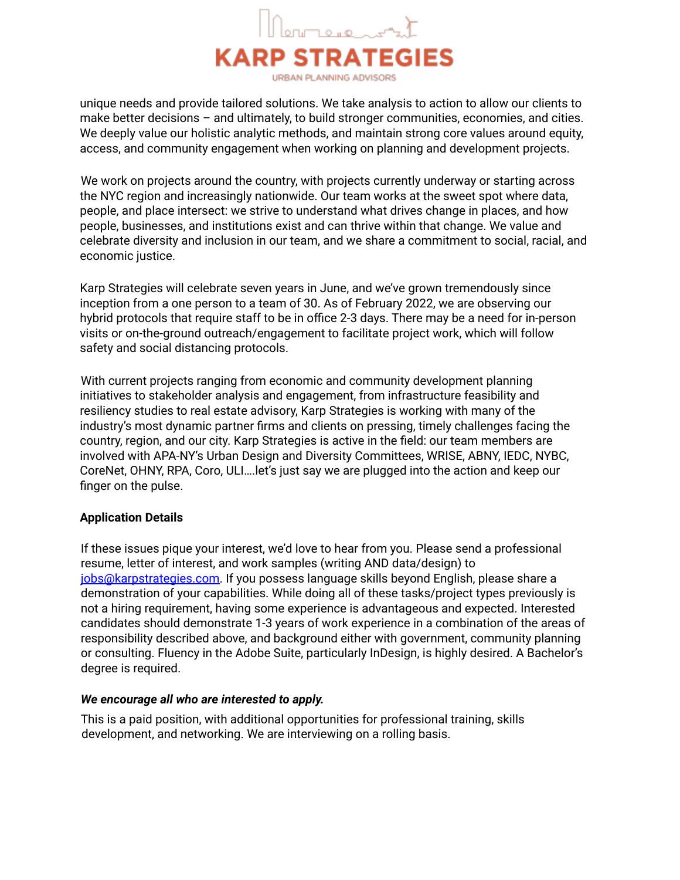

unique needs and provide tailored solutions. We take analysis to action to allow our clients to make better decisions – and ultimately, to build stronger communities, economies, and cities. We deeply value our holistic analytic methods, and maintain strong core values around equity, access, and community engagement when working on planning and development projects.

We work on projects around the country, with projects currently underway or starting across the NYC region and increasingly nationwide. Our team works at the sweet spot where data, people, and place intersect: we strive to understand what drives change in places, and how people, businesses, and institutions exist and can thrive within that change. We value and celebrate diversity and inclusion in our team, and we share a commitment to social, racial, and economic justice.

Karp Strategies will celebrate seven years in June, and we've grown tremendously since inception from a one person to a team of 30. As of February 2022, we are observing our hybrid protocols that require staff to be in office 2-3 days. There may be a need for in-person visits or on-the-ground outreach/engagement to facilitate project work, which will follow safety and social distancing protocols.

With current projects ranging from economic and community development planning initiatives to stakeholder analysis and engagement, from infrastructure feasibility and resiliency studies to real estate advisory, Karp Strategies is working with many of the industry's most dynamic partner firms and clients on pressing, timely challenges facing the country, region, and our city. Karp Strategies is active in the field: our team members are involved with APA-NY's Urban Design and Diversity Committees, WRISE, ABNY, IEDC, NYBC, CoreNet, OHNY, RPA, Coro, ULI….let's just say we are plugged into the action and keep our finger on the pulse.

# **Application Details**

If these issues pique your interest, we'd love to hear from you. Please send a professional resume, letter of interest, and work samples (writing AND data/design) to jobs@karpstrategies.com. If you possess language skills beyond English, please share a demonstration of your capabilities. While doing all of these tasks/project types previously is not a hiring requirement, having some experience is advantageous and expected. Interested candidates should demonstrate 1-3 years of work experience in a combination of the areas of responsibility described above, and background either with government, community planning or consulting. Fluency in the Adobe Suite, particularly InDesign, is highly desired. A Bachelor's degree is required.

# *We encourage all who are interested to apply.*

This is a paid position, with additional opportunities for professional training, skills development, and networking. We are interviewing on a rolling basis.